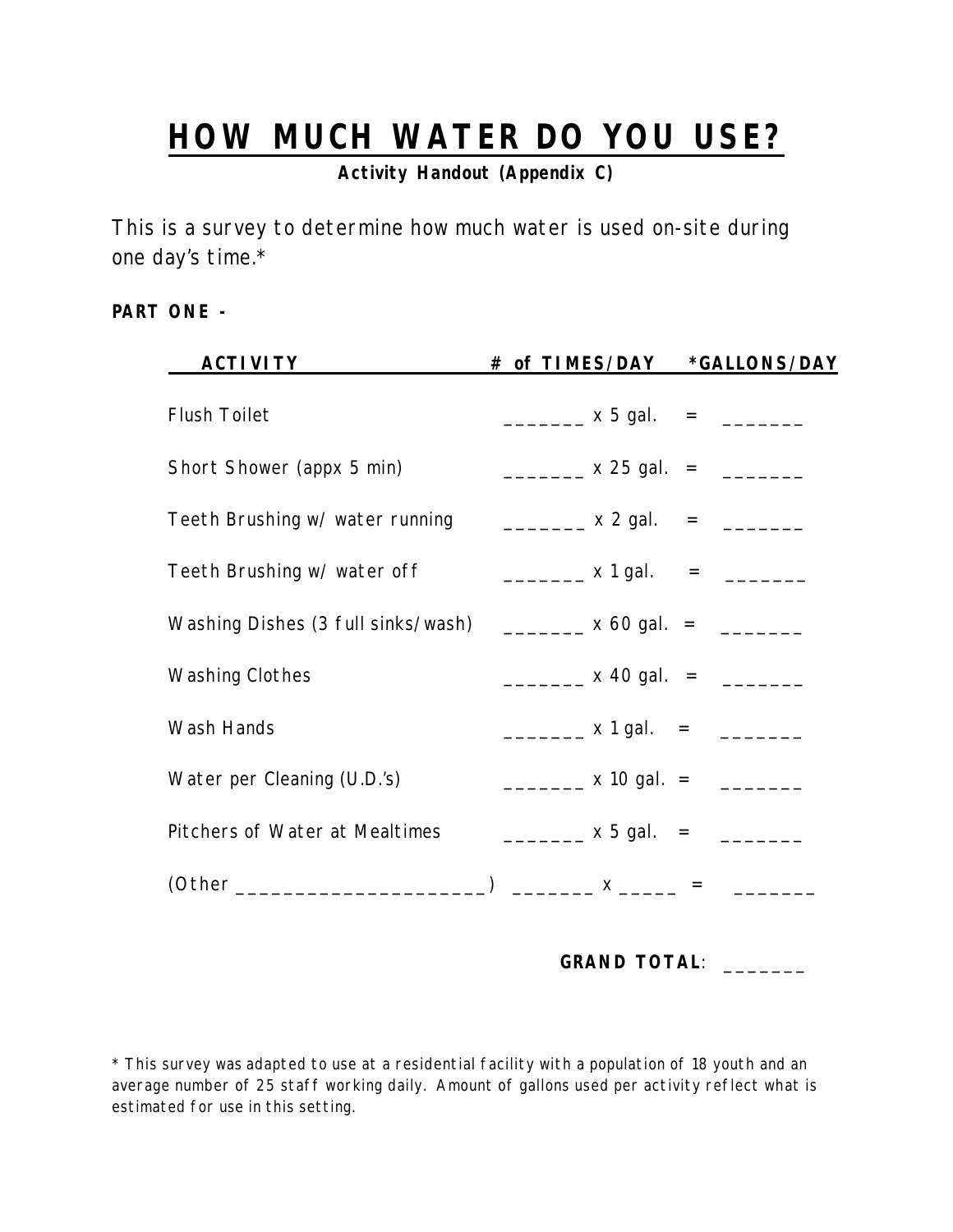## **HOW MUCH WATER DO YOU USE?**

**Activity Handout (Appendix C)**

This is a survey to determine how much water is used on-site during one day's time.\*

## **PART ONE -**

| # of TIMES/DAY                                                                                                | *GALLONS/DAY |
|---------------------------------------------------------------------------------------------------------------|--------------|
| $\frac{1}{2}$ x 5 gal. = $\frac{1}{2}$                                                                        |              |
| ___________ x 25 gal. = _________                                                                             |              |
| Teeth Brushing w/ water running $\qquad \qquad \boxed{2 \text{ gal.}} \qquad = \qquad \boxed{2 \text{ gal.}}$ |              |
|                                                                                                               |              |
| Washing Dishes (3 full sinks/wash) $\frac{1}{2}$ x 60 gal. = $\frac{1}{2}$                                    |              |
|                                                                                                               |              |
| $\frac{1}{2}$ x 1 gal. = $\frac{1}{2}$                                                                        |              |
| __________ x 10 gal.  =      ________                                                                         |              |
| __________ x 5 gal. = _________                                                                               |              |
|                                                                                                               |              |
|                                                                                                               |              |

**GRAND TOTAL**: \_\_\_\_\_\_\_

\* This survey was adapted to use at a residential facility with a population of 18 youth and an average number of 25 staff working daily. Amount of gallons used per activity reflect what is estimated for use in this setting.